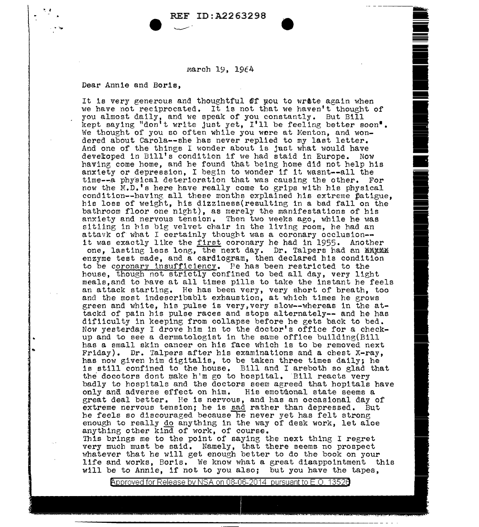## REF ID:A2263298

~- - ---

-

--<br>--<br>--

<u>•</u><br>• --

**Teacher** 

• .<br>• .

• -

e en 1917 en 1917 en 1917 en 1917 en 1917 en 1917 en 1917 en 1917 en 1917 en 1917 en 1917 en 1917 en 1917 en 19<br>De la groupe de la groupe de la groupe de la groupe de la groupe de la groupe de la groupe de la groupe de la

**In the computation** 

I

**International Property Commission** 

-

March 19, 1964

Dear Annie and Boris,

•. f

..

It is very generous and thoughtful of you to wrate again when we have not reciprocated. It is not that we haven't thought of you almost daily, and we speak of you constantly. But Bill be feeling better soon". We thought of you so often while you were at Menton, and wondered about Carola--she has never replied to my last letter. And one of the things I wonder about is just what would have developed in Bill's condition if we had staid in Europe. Now having come home, and he found that being home did not help his anxiety or depression, I begin to wonder if it wasnt--all the time--a physical deterioration that was causing the other. For now the M.D.'e here have really come to grips with his physical condition--having all these months explained his extreme patigue, his loss of weight, his dlzzlness(resulting in a bad fall on the bathroom floor one nlrht), as merely the manifestations of bis anxiety and nervous tension. Then two weeks ago, while he was sitiing in his big velvet chair in the living room, he had an attavk of what I certainly thought was a coronary occlusion-it was exactly like the first coronary he had in 1955. Another one, lasting less long, the next day. Dr. Talpers had an ENXME enzyme test made, and a cardiogram, then declared bis condition to be coronary insufficiency. Pe has been restricted to the house, though not strictly confined to bed all day, very light meals,and to have at all times pills to take the instant he feels an attack starting. He has been very, very short of breath, too and the most indescrlbablt exhaustion, at which times he grows green and white, his pulse is very, very slow--whereas in the attackd of pain his pulse races and stops alternately-- and he has difiiculty in keeping from collapse before he gets back to bed. Now yesterday I drove him in to the doctor's office for a checkup and to see a dermatologist in the same office bullding(Bill has a small skin cancer on his face which is to be removed next Friday). Dr. Talpers after bis examinations and a chest X-ray, bas now given him digitalis, to be taken three times daily; he le still confined to the house. Bill and I areboth so glad that the docotors dont make h'm go to hospital. Bill reacts very badly to hospitals and the doctors seem agreed that hopitals have only and adverse effect on him. His emotional state seems a only and adverse effect on him. great deal better. He is nervous, and has an occasional day of extreme nervous tension; he is sad rather than depressed. But he feels so discouraged because he never yet has felt strong enough to really do anything in the way of desk work, let aloe anythine; other kind of work, of course. Th1s brings me to the point of saying the next thing I regret very much must be said. Namely, that there seems no prospect whatever that he will get enough better to do the book on your life and works, Boris. We know what a great disappointment this will be to Annie, if not to you also; but you have the tapes,

Approved for Release by NSA on 08-06-2014 pursuant to E.O. 13526